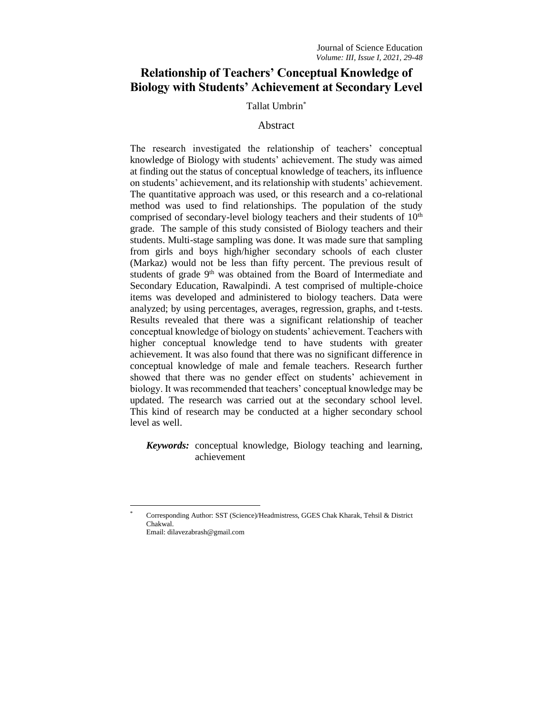# **Relationship of Teachers' Conceptual Knowledge of Biology with Students' Achievement at Secondary Level**

# Tallat Umbrin\*

# Abstract

The research investigated the relationship of teachers' conceptual knowledge of Biology with students' achievement. The study was aimed at finding out the status of conceptual knowledge of teachers, its influence on students' achievement, and its relationship with students' achievement. The quantitative approach was used, or this research and a co-relational method was used to find relationships. The population of the study comprised of secondary-level biology teachers and their students of  $10<sup>th</sup>$ grade. The sample of this study consisted of Biology teachers and their students. Multi-stage sampling was done. It was made sure that sampling from girls and boys high/higher secondary schools of each cluster (Markaz) would not be less than fifty percent. The previous result of students of grade 9<sup>th</sup> was obtained from the Board of Intermediate and Secondary Education, Rawalpindi. A test comprised of multiple-choice items was developed and administered to biology teachers. Data were analyzed; by using percentages, averages, regression, graphs, and t-tests. Results revealed that there was a significant relationship of teacher conceptual knowledge of biology on students' achievement. Teachers with higher conceptual knowledge tend to have students with greater achievement. It was also found that there was no significant difference in conceptual knowledge of male and female teachers. Research further showed that there was no gender effect on students' achievement in biology. It was recommended that teachers' conceptual knowledge may be updated. The research was carried out at the secondary school level. This kind of research may be conducted at a higher secondary school level as well.

*Keywords:* conceptual knowledge, Biology teaching and learning, achievement

<sup>\*</sup> Corresponding Author: SST (Science)/Headmistress, GGES Chak Kharak, Tehsil & District Chakwal. Email: dilavezabrash@gmail.com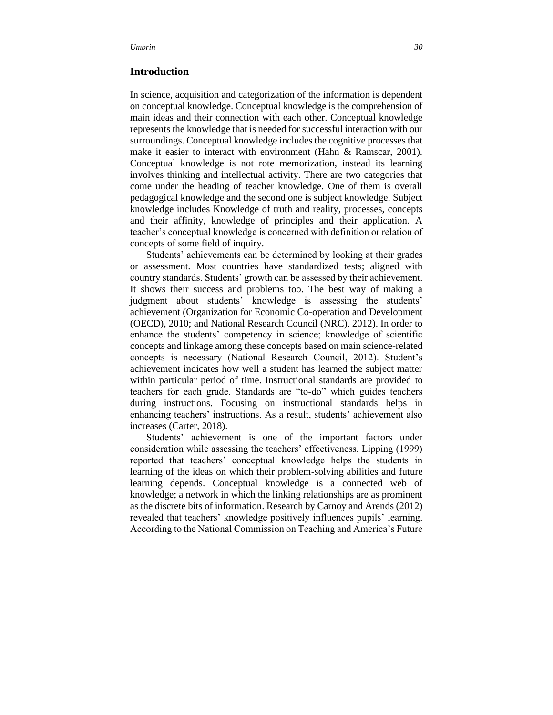# **Introduction**

In science, acquisition and categorization of the information is dependent on conceptual knowledge. Conceptual knowledge is the comprehension of main ideas and their connection with each other. Conceptual knowledge represents the knowledge that is needed for successful interaction with our surroundings. Conceptual knowledge includes the cognitive processes that make it easier to interact with environment (Hahn & Ramscar, 2001). Conceptual knowledge is not rote memorization, instead its learning involves thinking and intellectual activity. There are two categories that come under the heading of teacher knowledge. One of them is overall pedagogical knowledge and the second one is subject knowledge. Subject knowledge includes Knowledge of truth and reality, processes, concepts and their affinity, knowledge of principles and their application. A teacher's conceptual knowledge is concerned with definition or relation of concepts of some field of inquiry.

Students' achievements can be determined by looking at their grades or assessment. Most countries have standardized tests; aligned with country standards. Students' growth can be assessed by their achievement. It shows their success and problems too. The best way of making a judgment about students' knowledge is assessing the students' achievement (Organization for Economic Co-operation and Development (OECD), 2010; and National Research Council (NRC), 2012). In order to enhance the students' competency in science; knowledge of scientific concepts and linkage among these concepts based on main science-related concepts is necessary (National Research Council, 2012). Student's achievement indicates how well a student has learned the subject matter within particular period of time. Instructional standards are provided to teachers for each grade. Standards are "to-do" which guides teachers during instructions. Focusing on instructional standards helps in enhancing teachers' instructions. As a result, students' achievement also increases (Carter, 2018).

Students' achievement is one of the important factors under consideration while assessing the teachers' effectiveness. Lipping (1999) reported that teachers' conceptual knowledge helps the students in learning of the ideas on which their problem-solving abilities and future learning depends. Conceptual knowledge is a connected web of knowledge; a network in which the linking relationships are as prominent as the discrete bits of information. Research by Carnoy and Arends (2012) revealed that teachers' knowledge positively influences pupils' learning. According to the National Commission on Teaching and America's Future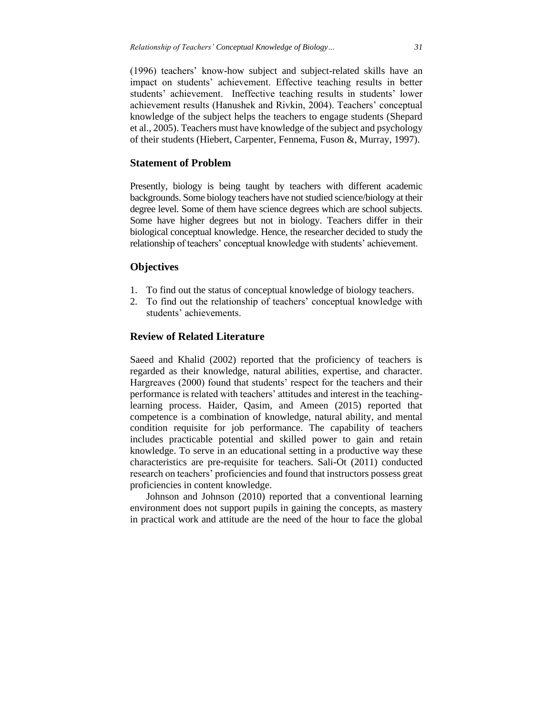(1996) teachers' know-how subject and subject-related skills have an impact on students' achievement. Effective teaching results in better students' achievement. Ineffective teaching results in students' lower achievement results (Hanushek and Rivkin, 2004). Teachers' conceptual knowledge of the subject helps the teachers to engage students (Shepard et al., 2005). Teachers must have knowledge of the subject and psychology of their students (Hiebert, Carpenter, Fennema, Fuson &, Murray, 1997).

# **Statement of Problem**

Presently, biology is being taught by teachers with different academic backgrounds. Some biology teachers have not studied science/biology at their degree level. Some of them have science degrees which are school subjects. Some have higher degrees but not in biology. Teachers differ in their biological conceptual knowledge. Hence, the researcher decided to study the relationship of teachers' conceptual knowledge with students' achievement.

# **Objectives**

- 1. To find out the status of conceptual knowledge of biology teachers.
- 2. To find out the relationship of teachers' conceptual knowledge with students' achievements.

## **Review of Related Literature**

Saeed and Khalid (2002) reported that the proficiency of teachers is regarded as their knowledge, natural abilities, expertise, and character. Hargreaves (2000) found that students' respect for the teachers and their performance is related with teachers' attitudes and interest in the teachinglearning process. Haider, Qasim, and Ameen (2015) reported that competence is a combination of knowledge, natural ability, and mental condition requisite for job performance. The capability of teachers includes practicable potential and skilled power to gain and retain knowledge. To serve in an educational setting in a productive way these characteristics are pre-requisite for teachers. Sali-Ot (2011) conducted research on teachers' proficiencies and found that instructors possess great proficiencies in content knowledge.

Johnson and Johnson (2010) reported that a conventional learning environment does not support pupils in gaining the concepts, as mastery in practical work and attitude are the need of the hour to face the global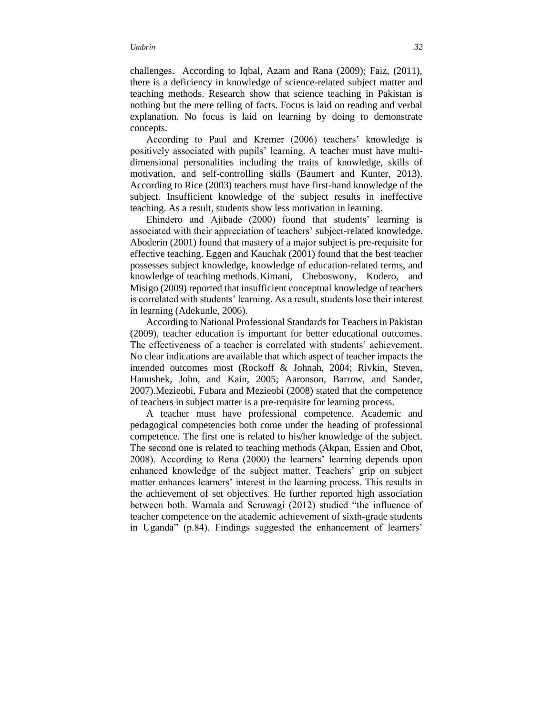challenges. According to Iqbal, Azam and Rana (2009); Faiz, (2011), there is a deficiency in knowledge of science-related subject matter and teaching methods. Research show that science teaching in Pakistan is nothing but the mere telling of facts. Focus is laid on reading and verbal explanation. No focus is laid on learning by doing to demonstrate concepts.

According to Paul and Kremer (2006) teachers' knowledge is positively associated with pupils' learning. A teacher must have multidimensional personalities including the traits of knowledge, skills of motivation, and self-controlling skills (Baumert and Kunter, 2013). According to Rice (2003) teachers must have first-hand knowledge of the subject. Insufficient knowledge of the subject results in ineffective teaching. As a result, students show less motivation in learning.

Ehindero and Ajibade (2000) found that students' learning is associated with their appreciation of teachers' subject-related knowledge. Aboderin (2001) found that mastery of a major subject is pre-requisite for effective teaching. Eggen and Kauchak (2001) found that the best teacher possesses subject knowledge, knowledge of education-related terms, and knowledge of teaching methods.Kimani, Cheboswony, Kodero, and Misigo (2009) reported that insufficient conceptual knowledge of teachers is correlated with students' learning. As a result, students lose their interest in learning (Adekunle, 2006).

According to National Professional Standards for Teachers in Pakistan (2009), teacher education is important for better educational outcomes. The effectiveness of a teacher is correlated with students' achievement. No clear indications are available that which aspect of teacher impacts the intended outcomes most (Rockoff & Johnah, 2004; Rivkin, Steven, Hanushek, John, and Kain, 2005; Aaronson, Barrow, and Sander, 2007).Mezieobi, Fubara and Mezieobi (2008) stated that the competence of teachers in subject matter is a pre-requisite for learning process.

A teacher must have professional competence. Academic and pedagogical competencies both come under the heading of professional competence. The first one is related to his/her knowledge of the subject. The second one is related to teaching methods (Akpan, Essien and Obot, 2008). According to Rena (2000) the learners' learning depends upon enhanced knowledge of the subject matter. Teachers' grip on subject matter enhances learners' interest in the learning process. This results in the achievement of set objectives. He further reported high association between both. Wamala and Seruwagi (2012) studied "the influence of teacher competence on the academic achievement of sixth-grade students in Uganda" (p.84). Findings suggested the enhancement of learners'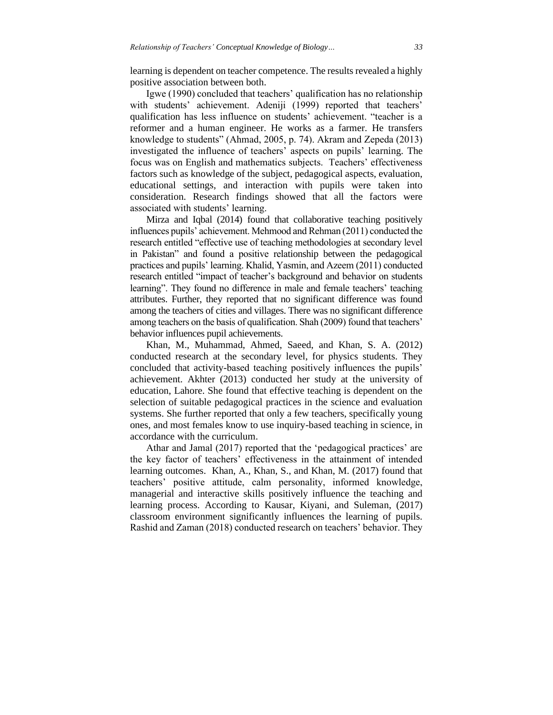learning is dependent on teacher competence. The results revealed a highly positive association between both.

Igwe (1990) concluded that teachers' qualification has no relationship with students' achievement. Adeniji (1999) reported that teachers' qualification has less influence on students' achievement. "teacher is a reformer and a human engineer. He works as a farmer. He transfers knowledge to students" (Ahmad, 2005, p. 74). Akram and Zepeda (2013) investigated the influence of teachers' aspects on pupils' learning. The focus was on English and mathematics subjects. Teachers' effectiveness factors such as knowledge of the subject, pedagogical aspects, evaluation, educational settings, and interaction with pupils were taken into consideration. Research findings showed that all the factors were associated with students' learning.

Mirza and Iqbal (2014) found that collaborative teaching positively influences pupils' achievement. Mehmood and Rehman (2011) conducted the research entitled "effective use of teaching methodologies at secondary level in Pakistan" and found a positive relationship between the pedagogical practices and pupils' learning. Khalid, Yasmin, and Azeem (2011) conducted research entitled "impact of teacher's background and behavior on students learning". They found no difference in male and female teachers' teaching attributes. Further, they reported that no significant difference was found among the teachers of cities and villages. There was no significant difference among teachers on the basis of qualification. Shah (2009) found that teachers' behavior influences pupil achievements.

Khan, M., Muhammad, Ahmed, Saeed, and Khan, S. A. (2012) conducted research at the secondary level, for physics students. They concluded that activity-based teaching positively influences the pupils' achievement. Akhter (2013) conducted her study at the university of education, Lahore. She found that effective teaching is dependent on the selection of suitable pedagogical practices in the science and evaluation systems. She further reported that only a few teachers, specifically young ones, and most females know to use inquiry-based teaching in science, in accordance with the curriculum.

Athar and Jamal (2017) reported that the 'pedagogical practices' are the key factor of teachers' effectiveness in the attainment of intended learning outcomes. Khan, A., Khan, S., and Khan, M. (2017) found that teachers' positive attitude, calm personality, informed knowledge, managerial and interactive skills positively influence the teaching and learning process. According to Kausar, Kiyani, and Suleman, (2017) classroom environment significantly influences the learning of pupils. Rashid and Zaman (2018) conducted research on teachers' behavior. They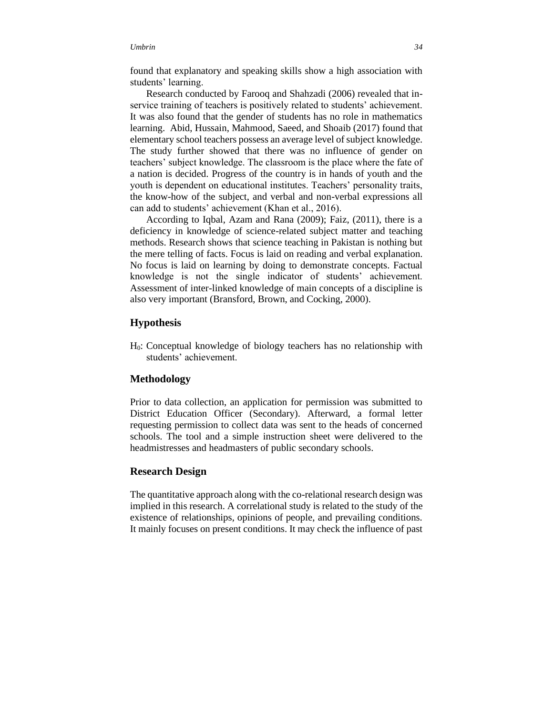found that explanatory and speaking skills show a high association with students' learning.

Research conducted by Farooq and Shahzadi (2006) revealed that inservice training of teachers is positively related to students' achievement. It was also found that the gender of students has no role in mathematics learning. Abid, Hussain, Mahmood, Saeed, and Shoaib (2017) found that elementary school teachers possess an average level of subject knowledge. The study further showed that there was no influence of gender on teachers' subject knowledge. The classroom is the place where the fate of a nation is decided. Progress of the country is in hands of youth and the youth is dependent on educational institutes. Teachers' personality traits, the know-how of the subject, and verbal and non-verbal expressions all can add to students' achievement (Khan et al., 2016).

According to Iqbal, Azam and Rana (2009); Faiz, (2011), there is a deficiency in knowledge of science-related subject matter and teaching methods. Research shows that science teaching in Pakistan is nothing but the mere telling of facts. Focus is laid on reading and verbal explanation. No focus is laid on learning by doing to demonstrate concepts. Factual knowledge is not the single indicator of students' achievement. Assessment of inter-linked knowledge of main concepts of a discipline is also very important (Bransford, Brown, and Cocking, 2000).

### **Hypothesis**

H0: Conceptual knowledge of biology teachers has no relationship with students' achievement.

# **Methodology**

Prior to data collection, an application for permission was submitted to District Education Officer (Secondary). Afterward, a formal letter requesting permission to collect data was sent to the heads of concerned schools. The tool and a simple instruction sheet were delivered to the headmistresses and headmasters of public secondary schools.

# **Research Design**

The quantitative approach along with the co-relational research design was implied in this research. A correlational study is related to the study of the existence of relationships, opinions of people, and prevailing conditions. It mainly focuses on present conditions. It may check the influence of past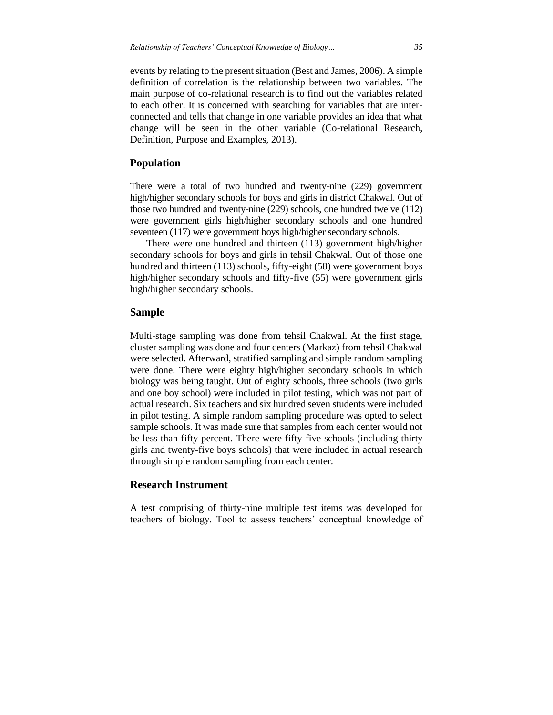events by relating to the present situation (Best and James, 2006). A simple definition of correlation is the relationship between two variables. The main purpose of co-relational research is to find out the variables related to each other. It is concerned with searching for variables that are interconnected and tells that change in one variable provides an idea that what change will be seen in the other variable (Co-relational Research, Definition, Purpose and Examples, 2013).

# **Population**

There were a total of two hundred and twenty-nine (229) government high/higher secondary schools for boys and girls in district Chakwal. Out of those two hundred and twenty-nine (229) schools, one hundred twelve (112) were government girls high/higher secondary schools and one hundred seventeen (117) were government boys high/higher secondary schools.

There were one hundred and thirteen (113) government high/higher secondary schools for boys and girls in tehsil Chakwal. Out of those one hundred and thirteen (113) schools, fifty-eight (58) were government boys high/higher secondary schools and fifty-five (55) were government girls high/higher secondary schools.

# **Sample**

Multi-stage sampling was done from tehsil Chakwal. At the first stage, cluster sampling was done and four centers (Markaz) from tehsil Chakwal were selected. Afterward, stratified sampling and simple random sampling were done. There were eighty high/higher secondary schools in which biology was being taught. Out of eighty schools, three schools (two girls and one boy school) were included in pilot testing, which was not part of actual research. Six teachers and six hundred seven students were included in pilot testing. A simple random sampling procedure was opted to select sample schools. It was made sure that samples from each center would not be less than fifty percent. There were fifty-five schools (including thirty girls and twenty-five boys schools) that were included in actual research through simple random sampling from each center.

# **Research Instrument**

A test comprising of thirty-nine multiple test items was developed for teachers of biology. Tool to assess teachers' conceptual knowledge of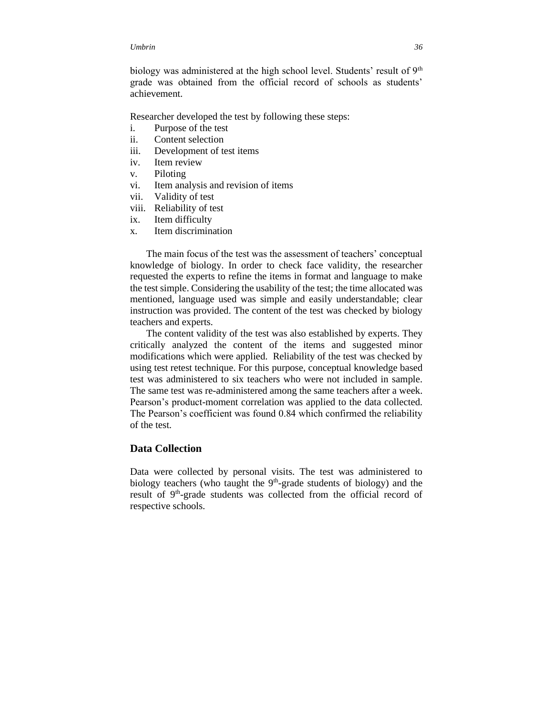biology was administered at the high school level. Students' result of 9<sup>th</sup> grade was obtained from the official record of schools as students' achievement.

Researcher developed the test by following these steps:

- i. Purpose of the test
- ii. Content selection
- iii. Development of test items
- iv. Item review
- v. Piloting
- vi. Item analysis and revision of items
- vii. Validity of test
- viii. Reliability of test
- ix. Item difficulty
- x. Item discrimination

The main focus of the test was the assessment of teachers' conceptual knowledge of biology. In order to check face validity, the researcher requested the experts to refine the items in format and language to make the test simple. Considering the usability of the test; the time allocated was mentioned, language used was simple and easily understandable; clear instruction was provided. The content of the test was checked by biology teachers and experts.

The content validity of the test was also established by experts. They critically analyzed the content of the items and suggested minor modifications which were applied. Reliability of the test was checked by using test retest technique. For this purpose, conceptual knowledge based test was administered to six teachers who were not included in sample. The same test was re-administered among the same teachers after a week. Pearson's product-moment correlation was applied to the data collected. The Pearson's coefficient was found 0.84 which confirmed the reliability of the test.

# **Data Collection**

Data were collected by personal visits. The test was administered to biology teachers (who taught the  $9<sup>th</sup>$ -grade students of biology) and the result of 9<sup>th</sup>-grade students was collected from the official record of respective schools.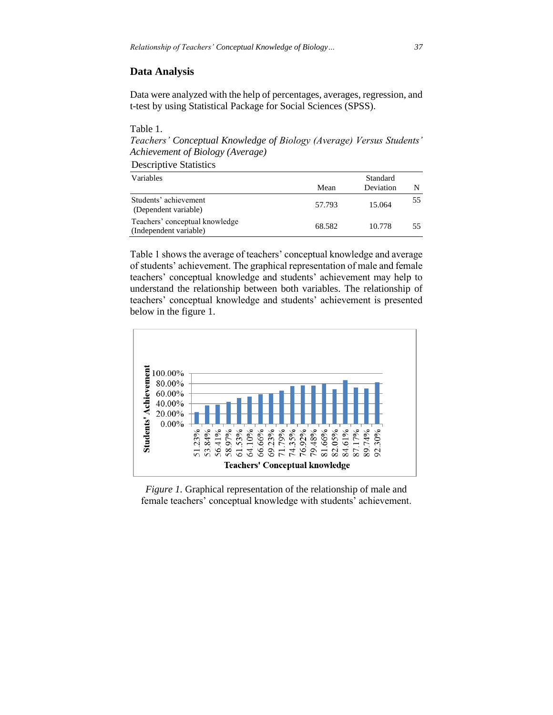# **Data Analysis**

Data were analyzed with the help of percentages, averages, regression, and t-test by using Statistical Package for Social Sciences (SPSS).

Table 1. *Teachers' Conceptual Knowledge of Biology (Average) Versus Students' Achievement of Biology (Average)*

Descriptive Statistics

| Variables                                                | Standard |           |    |  |  |
|----------------------------------------------------------|----------|-----------|----|--|--|
|                                                          | Mean     | Deviation |    |  |  |
| Students' achievement<br>(Dependent variable)            | 57.793   | 15.064    | 55 |  |  |
| Teachers' conceptual knowledge<br>(Independent variable) | 68.582   | 10.778    | 55 |  |  |

Table 1 shows the average of teachers' conceptual knowledge and average of students' achievement. The graphical representation of male and female teachers' conceptual knowledge and students' achievement may help to understand the relationship between both variables. The relationship of teachers' conceptual knowledge and students' achievement is presented below in the figure 1.



*Figure 1.* Graphical representation of the relationship of male and female teachers' conceptual knowledge with students' achievement.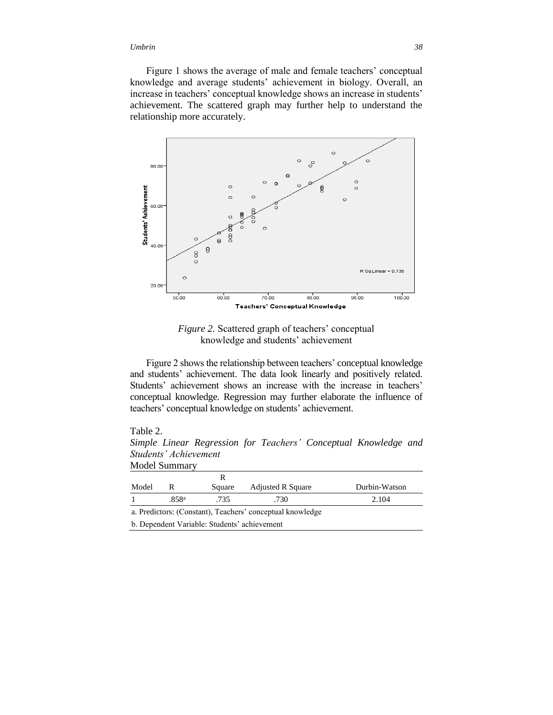Figure 1 shows the average of male and female teachers' conceptual knowledge and average students' achievement in biology. Overall, an increase in teachers' conceptual knowledge shows an increase in students' achievement. The scattered graph may further help to understand the relationship more accurately.



*Figure 2.* Scattered graph of teachers' conceptual knowledge and students' achievement

Figure 2 shows the relationship between teachers' conceptual knowledge and students' achievement. The data look linearly and positively related. Students' achievement shows an increase with the increase in teachers' conceptual knowledge. Regression may further elaborate the influence of teachers' conceptual knowledge on students' achievement.

#### Table 2.

*Simple Linear Regression for Teachers' Conceptual Knowledge and Students' Achievement* Model Summary

| Model                                        | R                 | Square | <b>Adjusted R Square</b>                                  | Durbin-Watson |  |
|----------------------------------------------|-------------------|--------|-----------------------------------------------------------|---------------|--|
|                                              | .858 <sup>a</sup> | .735   | .730                                                      | 2.104         |  |
|                                              |                   |        | a. Predictors: (Constant), Teachers' conceptual knowledge |               |  |
| b. Dependent Variable: Students' achievement |                   |        |                                                           |               |  |
|                                              |                   |        |                                                           |               |  |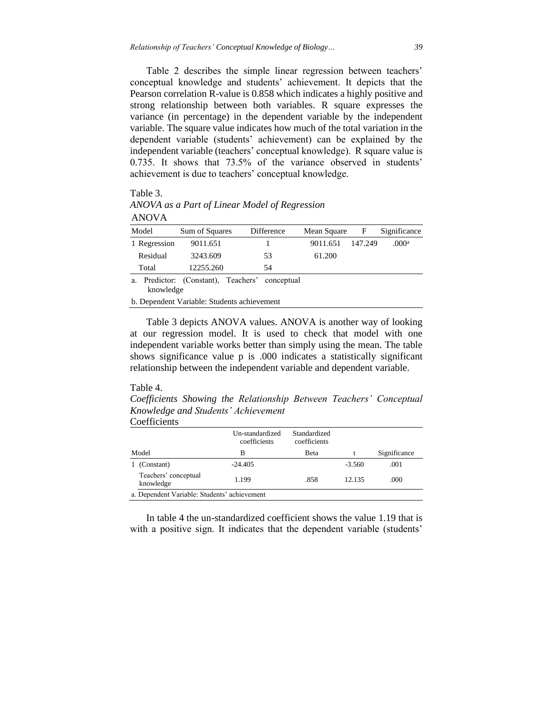Table 2 describes the simple linear regression between teachers' conceptual knowledge and students' achievement. It depicts that the Pearson correlation R-value is 0.858 which indicates a highly positive and strong relationship between both variables. R square expresses the variance (in percentage) in the dependent variable by the independent variable. The square value indicates how much of the total variation in the dependent variable (students' achievement) can be explained by the independent variable (teachers' conceptual knowledge). R square value is 0.735. It shows that 73.5% of the variance observed in students' achievement is due to teachers' conceptual knowledge.

#### Table 3.

*ANOVA as a Part of Linear Model of Regression* ANOVA

| Model                                                             | Sum of Squares | <b>Difference</b> | Mean Square | F       | Significance      |
|-------------------------------------------------------------------|----------------|-------------------|-------------|---------|-------------------|
| 1 Regression                                                      | 9011.651       |                   | 9011.651    | 147.249 | .000 <sup>a</sup> |
| Residual                                                          | 3243.609       | 53                | 61.200      |         |                   |
| Total                                                             | 12255.260      | 54                |             |         |                   |
| Predictor: (Constant), Teachers'<br>conceptual<br>a.<br>knowledge |                |                   |             |         |                   |
| b. Dependent Variable: Students achievement                       |                |                   |             |         |                   |

Table 3 depicts ANOVA values. ANOVA is another way of looking at our regression model. It is used to check that model with one independent variable works better than simply using the mean. The table shows significance value p is .000 indicates a statistically significant relationship between the independent variable and dependent variable.

# Table 4.

*Coefficients Showing the Relationship Between Teachers' Conceptual Knowledge and Students' Achievement*

Coefficients

|                                              | Un-standardized<br>coefficients | Standardized<br>coefficients |          |              |  |
|----------------------------------------------|---------------------------------|------------------------------|----------|--------------|--|
| Model                                        | в                               | <b>B</b> eta                 |          | Significance |  |
| (Constant)                                   | $-24.405$                       |                              | $-3.560$ | .001         |  |
| Teachers' conceptual<br>knowledge            | 1.199                           | .858                         | 12.135   | .000         |  |
| a. Dependent Variable: Students' achievement |                                 |                              |          |              |  |

In table 4 the un-standardized coefficient shows the value 1.19 that is with a positive sign. It indicates that the dependent variable (students'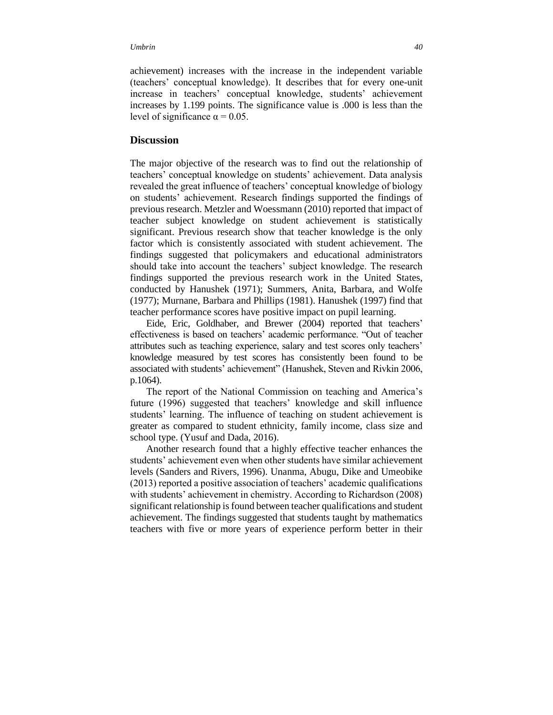achievement) increases with the increase in the independent variable (teachers' conceptual knowledge). It describes that for every one-unit increase in teachers' conceptual knowledge, students' achievement increases by 1.199 points. The significance value is .000 is less than the level of significance  $\alpha = 0.05$ .

# **Discussion**

The major objective of the research was to find out the relationship of teachers' conceptual knowledge on students' achievement. Data analysis revealed the great influence of teachers' conceptual knowledge of biology on students' achievement. Research findings supported the findings of previous research. Metzler and Woessmann (2010) reported that impact of teacher subject knowledge on student achievement is statistically significant. Previous research show that teacher knowledge is the only factor which is consistently associated with student achievement. The findings suggested that policymakers and educational administrators should take into account the teachers' subject knowledge. The research findings supported the previous research work in the United States, conducted by Hanushek (1971); Summers, Anita, Barbara, and Wolfe (1977); Murnane, Barbara and Phillips (1981). Hanushek (1997) find that teacher performance scores have positive impact on pupil learning.

Eide, Eric, Goldhaber, and Brewer (2004) reported that teachers' effectiveness is based on teachers' academic performance. "Out of teacher attributes such as teaching experience, salary and test scores only teachers' knowledge measured by test scores has consistently been found to be associated with students' achievement" (Hanushek, Steven and Rivkin 2006, p.1064).

The report of the National Commission on teaching and America's future (1996) suggested that teachers' knowledge and skill influence students' learning. The influence of teaching on student achievement is greater as compared to student ethnicity, family income, class size and school type. (Yusuf and Dada, 2016).

Another research found that a highly effective teacher enhances the students' achievement even when other students have similar achievement levels (Sanders and Rivers, 1996). Unanma, Abugu, Dike and Umeobike (2013) reported a positive association of teachers' academic qualifications with students' achievement in chemistry. According to Richardson (2008) significant relationship is found between teacher qualifications and student achievement. The findings suggested that students taught by mathematics teachers with five or more years of experience perform better in their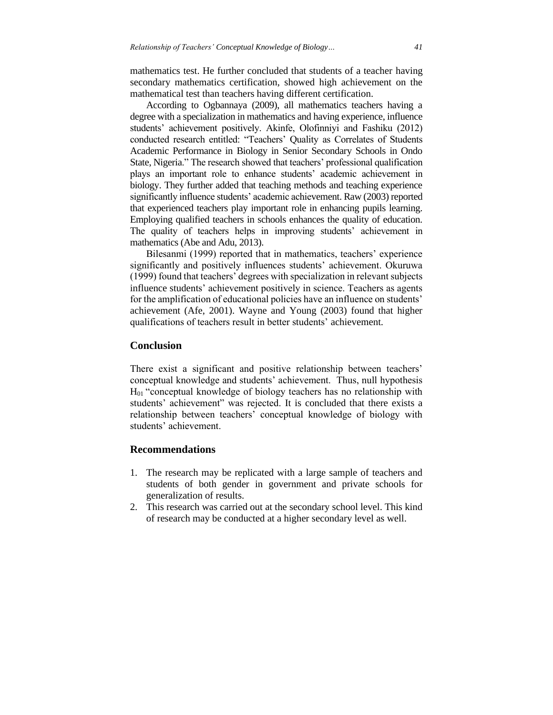mathematics test. He further concluded that students of a teacher having secondary mathematics certification, showed high achievement on the mathematical test than teachers having different certification.

According to Ogbannaya (2009), all mathematics teachers having a degree with a specialization in mathematics and having experience, influence students' achievement positively. Akinfe, Olofinniyi and Fashiku (2012) conducted research entitled: "Teachers' Quality as Correlates of Students Academic Performance in Biology in Senior Secondary Schools in Ondo State, Nigeria." The research showed that teachers' professional qualification plays an important role to enhance students' academic achievement in biology. They further added that teaching methods and teaching experience significantly influence students' academic achievement. Raw (2003) reported that experienced teachers play important role in enhancing pupils learning. Employing qualified teachers in schools enhances the quality of education. The quality of teachers helps in improving students' achievement in mathematics (Abe and Adu, 2013).

Bilesanmi (1999) reported that in mathematics, teachers' experience significantly and positively influences students' achievement. Okuruwa (1999) found that teachers' degrees with specialization in relevant subjects influence students' achievement positively in science. Teachers as agents for the amplification of educational policies have an influence on students' achievement (Afe, 2001). Wayne and Young (2003) found that higher qualifications of teachers result in better students' achievement.

### **Conclusion**

There exist a significant and positive relationship between teachers' conceptual knowledge and students' achievement. Thus, null hypothesis H01 "conceptual knowledge of biology teachers has no relationship with students' achievement" was rejected. It is concluded that there exists a relationship between teachers' conceptual knowledge of biology with students' achievement.

### **Recommendations**

- 1. The research may be replicated with a large sample of teachers and students of both gender in government and private schools for generalization of results.
- 2. This research was carried out at the secondary school level. This kind of research may be conducted at a higher secondary level as well.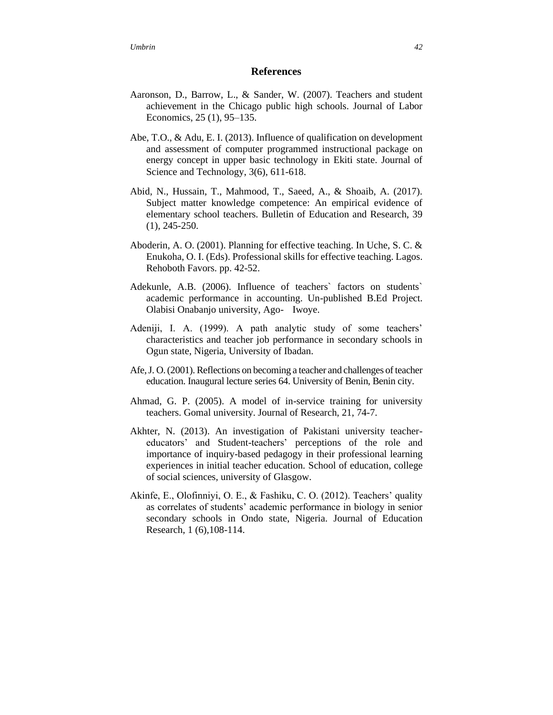## **References**

- Aaronson, D., Barrow, L., & Sander, W. (2007). Teachers and student achievement in the Chicago public high schools. Journal of Labor Economics, 25 (1), 95–135.
- Abe, T.O., & Adu, E. I. (2013). Influence of qualification on development and assessment of computer programmed instructional package on energy concept in upper basic technology in Ekiti state. Journal of Science and Technology, 3(6), 611-618.
- Abid, N., Hussain, T., Mahmood, T., Saeed, A., & Shoaib, A. (2017). Subject matter knowledge competence: An empirical evidence of elementary school teachers. Bulletin of Education and Research, 39 (1), 245-250.
- Aboderin, A. O. (2001). Planning for effective teaching. In Uche, S. C. & Enukoha, O. I. (Eds). Professional skills for effective teaching. Lagos. Rehoboth Favors. pp. 42-52.
- Adekunle, A.B. (2006). Influence of teachers` factors on students` academic performance in accounting. Un-published B.Ed Project. Olabisi Onabanjo university, Ago- Iwoye.
- Adeniji, I. A. (1999). A path analytic study of some teachers' characteristics and teacher job performance in secondary schools in Ogun state, Nigeria, University of Ibadan.
- Afe, J. O. (2001). Reflections on becoming a teacher and challenges of teacher education. Inaugural lecture series 64. University of Benin, Benin city.
- Ahmad, G. P. (2005). A model of in-service training for university teachers. Gomal university. Journal of Research, 21, 74-7.
- Akhter, N. (2013). An investigation of Pakistani university teachereducators' and Student-teachers' perceptions of the role and importance of inquiry-based pedagogy in their professional learning experiences in initial teacher education. School of education, college of social sciences, university of Glasgow.
- Akinfe, E., Olofinniyi, O. E., & Fashiku, C. O. (2012). Teachers' quality as correlates of students' academic performance in biology in senior secondary schools in Ondo state, Nigeria. Journal of Education Research, 1 (6),108-114.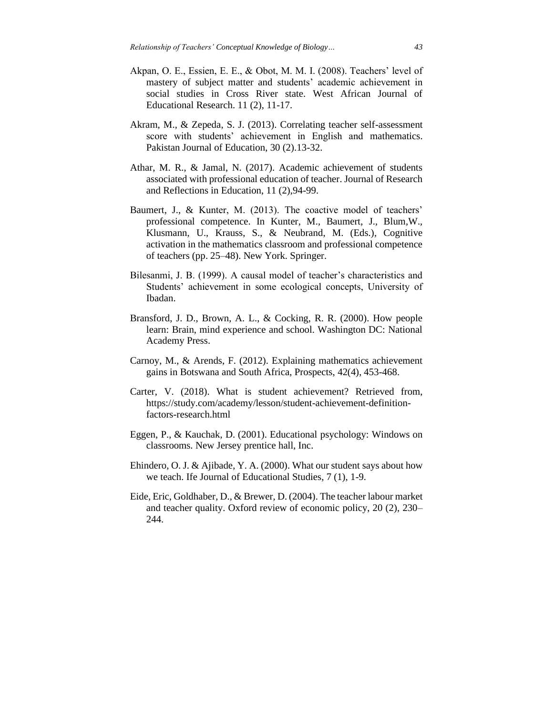- Akpan, O. E., Essien, E. E., & Obot, M. M. I. (2008). Teachers' level of mastery of subject matter and students' academic achievement in social studies in Cross River state. West African Journal of Educational Research. 11 (2), 11-17.
- Akram, M., & Zepeda, S. J. (2013). Correlating teacher self-assessment score with students' achievement in English and mathematics. Pakistan Journal of Education, 30 (2).13-32.
- Athar, M. R., & Jamal, N. (2017). Academic achievement of students associated with professional education of teacher. Journal of Research and Reflections in Education, 11 (2),94-99.
- Baumert, J., & Kunter, M. (2013). The coactive model of teachers' professional competence. In Kunter, M., Baumert, J., Blum,W., Klusmann, U., Krauss, S., & Neubrand, M. (Eds.), Cognitive activation in the mathematics classroom and professional competence of teachers (pp. 25–48). New York. Springer.
- Bilesanmi, J. B. (1999). A causal model of teacher's characteristics and Students' achievement in some ecological concepts, University of Ibadan.
- Bransford, J. D., Brown, A. L., & Cocking, R. R. (2000). How people learn: Brain, mind experience and school. Washington DC: National Academy Press.
- Carnoy, M., & Arends, F. (2012). Explaining mathematics achievement gains in Botswana and South Africa, Prospects, 42(4), 453-468.
- Carter, V. (2018). What is student achievement? Retrieved from, [https://study.com/academy/lesson/student-achievement-definition](https://study.com/academy/lesson/student-achievement-definition-factors-research.html)[factors-research.html](https://study.com/academy/lesson/student-achievement-definition-factors-research.html)
- Eggen, P., & Kauchak, D. (2001). Educational psychology: Windows on classrooms. New Jersey prentice hall, Inc.
- Ehindero, O. J. & Ajibade, Y. A. (2000). What our student says about how we teach. Ife Journal of Educational Studies, 7 (1), 1-9.
- Eide, Eric, Goldhaber, D., & Brewer, D. (2004). The teacher labour market and teacher quality. Oxford review of economic policy, 20 (2), 230– 244.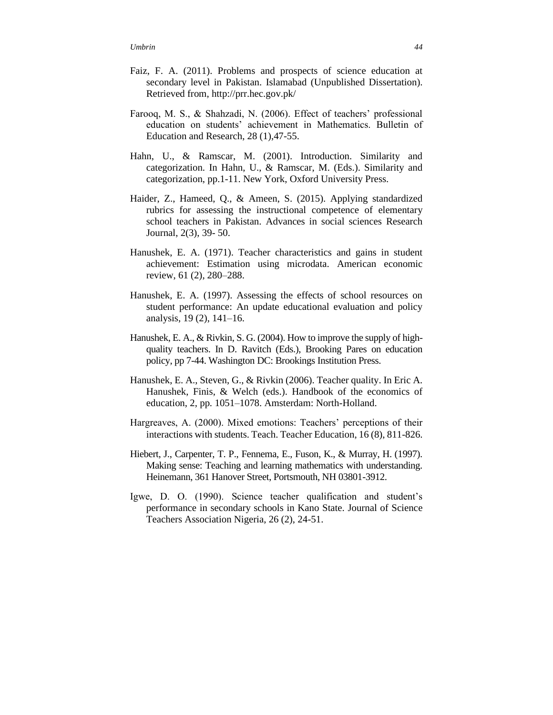- Faiz, F. A. (2011). Problems and prospects of science education at secondary level in Pakistan. Islamabad (Unpublished Dissertation). Retrieved from, http://prr.hec.gov.pk/
- Farooq, M. S., & Shahzadi, N. (2006). Effect of teachers' professional education on students' achievement in Mathematics. Bulletin of Education and Research, 28 (1),47-55.
- Hahn, U., & Ramscar, M. (2001). Introduction. Similarity and categorization. In Hahn, U., & Ramscar, M. (Eds.). Similarity and categorization, pp.1-11. New York, Oxford University Press.
- Haider, Z., Hameed, Q., & Ameen, S. (2015). Applying standardized rubrics for assessing the instructional competence of elementary school teachers in Pakistan. Advances in social sciences Research Journal, 2(3), 39- 50.
- Hanushek, E. A. (1971). Teacher characteristics and gains in student achievement: Estimation using microdata. American economic review, 61 (2), 280–288.
- Hanushek, E. A. (1997). Assessing the effects of school resources on student performance: An update educational evaluation and policy analysis, 19 (2), 141–16.
- Hanushek, E. A., & Rivkin, S. G. (2004). How to improve the supply of highquality teachers. In D. Ravitch (Eds.), Brooking Pares on education policy, pp 7-44. Washington DC: Brookings Institution Press.
- Hanushek, E. A., Steven, G., & Rivkin (2006). Teacher quality. In Eric A. Hanushek, Finis, & Welch (eds.). Handbook of the economics of education, 2, pp. 1051–1078. Amsterdam: North-Holland.
- Hargreaves, A. (2000). Mixed emotions: Teachers' perceptions of their interactions with students. Teach. Teacher Education, 16 (8), 811-826.
- Hiebert, J., Carpenter, T. P., Fennema, E., Fuson, K., & Murray, H. (1997). Making sense: Teaching and learning mathematics with understanding. Heinemann, 361 Hanover Street, Portsmouth, NH 03801-3912.
- Igwe, D. O. (1990). Science teacher qualification and student's performance in secondary schools in Kano State. Journal of Science Teachers Association Nigeria, 26 (2), 24-51.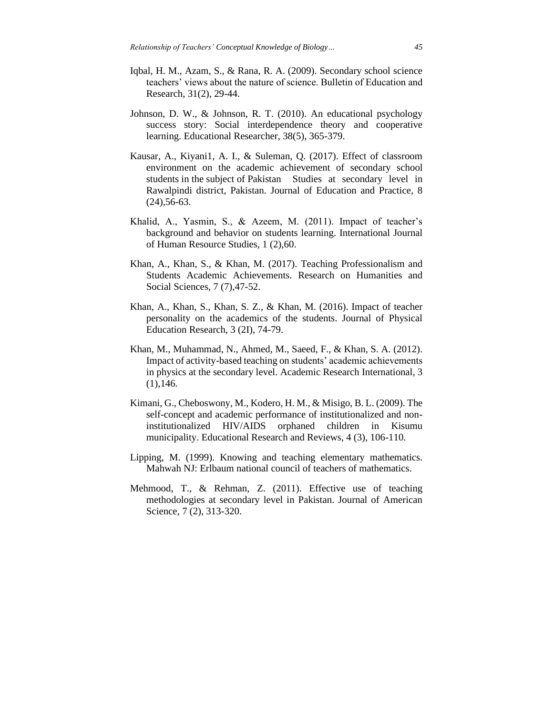- Iqbal, H. M., Azam, S., & Rana, R. A. (2009). Secondary school science teachers' views about the nature of science. Bulletin of Education and Research, 31(2), 29-44.
- Johnson, D. W., & Johnson, R. T. (2010). An educational psychology success story: Social interdependence theory and cooperative learning. Educational Researcher, 38(5), 365-379.
- Kausar, A., Kiyani1, A. I., & Suleman, Q. (2017). Effect of classroom environment on the academic achievement of secondary school students in the subject of Pakistan Studies at secondary level in Rawalpindi district, Pakistan. Journal of Education and Practice, 8 (24),56-63.
- Khalid, A., Yasmin, S., & Azeem, M. (2011). Impact of teacher's background and behavior on students learning. International Journal of Human Resource Studies, 1 (2),60.
- Khan, A., Khan, S., & Khan, M. (2017). Teaching Professionalism and Students Academic Achievements. Research on Humanities and Social Sciences, 7 (7),47-52.
- Khan, A., Khan, S., Khan, S. Z., & Khan, M. (2016). Impact of teacher personality on the academics of the students. Journal of Physical Education Research, 3 (2I), 74-79.
- Khan, M., Muhammad, N., Ahmed, M., Saeed, F., & Khan, S. A. (2012). Impact of activity-based teaching on students' academic achievements in physics at the secondary level. Academic Research International, 3  $(1)$ , 146.
- Kimani, G., Cheboswony, M., Kodero, H. M., & Misigo, B. L. (2009). The self-concept and academic performance of institutionalized and noninstitutionalized HIV/AIDS orphaned children in Kisumu municipality. Educational Research and Reviews, 4 (3), 106-110.
- Lipping, M. (1999). Knowing and teaching elementary mathematics. Mahwah NJ: Erlbaum national council of teachers of mathematics.
- Mehmood, T., & Rehman, Z. (2011). Effective use of teaching methodologies at secondary level in Pakistan. Journal of American Science, 7 (2), 313-320.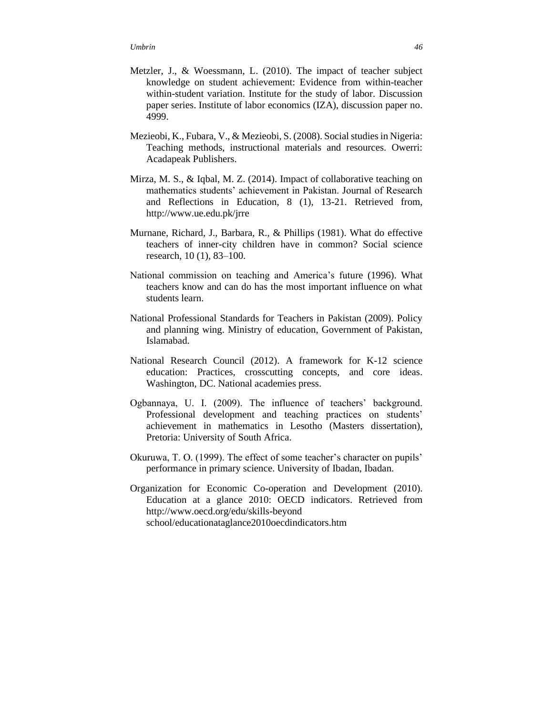- Metzler, J., & Woessmann, L. (2010). The impact of teacher subject knowledge on student achievement: Evidence from within-teacher within-student variation. Institute for the study of labor. Discussion paper series. Institute of labor economics (IZA), discussion paper no. 4999.
- Mezieobi, K., Fubara, V., & Mezieobi, S. (2008). Social studies in Nigeria: Teaching methods, instructional materials and resources. Owerri: Acadapeak Publishers.
- Mirza, M. S., & Iqbal, M. Z. (2014). Impact of collaborative teaching on mathematics students' achievement in Pakistan. Journal of Research and Reflections in Education, 8 (1), 13-21. Retrieved from, http://www.ue.edu.pk/jrre
- Murnane, Richard, J., Barbara, R., & Phillips (1981). What do effective teachers of inner-city children have in common? Social science research, 10 (1), 83–100.
- National commission on teaching and America's future (1996). What teachers know and can do has the most important influence on what students learn.
- National Professional Standards for Teachers in Pakistan (2009). Policy and planning wing. Ministry of education, Government of Pakistan, Islamabad.
- National Research Council (2012). A framework for K-12 science education: Practices, crosscutting concepts, and core ideas. Washington, DC. National academies press.
- Ogbannaya, U. I. (2009). The influence of teachers' background. Professional development and teaching practices on students' achievement in mathematics in Lesotho (Masters dissertation), Pretoria: University of South Africa.
- Okuruwa, T. O. (1999). The effect of some teacher's character on pupils' performance in primary science. University of Ibadan, Ibadan.
- Organization for Economic Co-operation and Development (2010). Education at a glance 2010: OECD indicators. Retrieved from http://www.oecd.org/edu/skills-beyond school/educationataglance2010oecdindicators.htm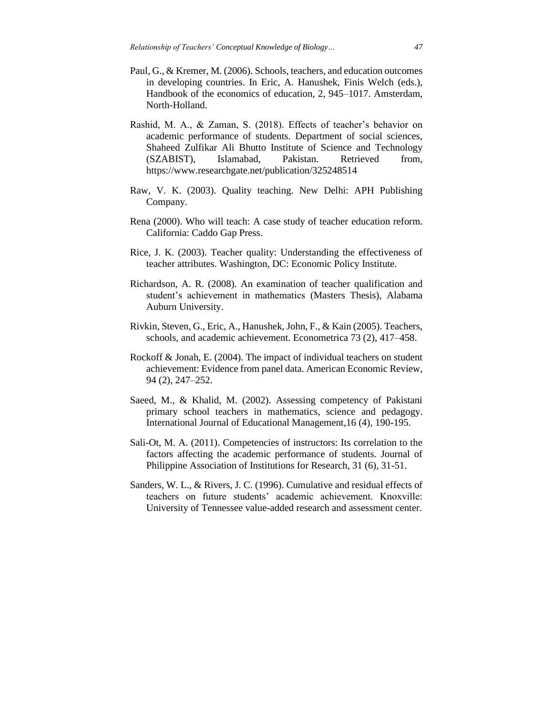- Paul, G., & Kremer, M. (2006). Schools, teachers, and education outcomes in developing countries. In Eric, A. Hanushek, Finis Welch (eds.), Handbook of the economics of education, 2, 945–1017. Amsterdam, North-Holland.
- Rashid, M. A., & Zaman, S. (2018). Effects of teacher's behavior on academic performance of students. Department of social sciences, Shaheed Zulfikar Ali Bhutto Institute of Science and Technology (SZABIST), Islamabad, Pakistan. Retrieved from, https://www.researchgate.net/publication/325248514
- Raw, V. K. (2003). Quality teaching. New Delhi: APH Publishing Company.
- Rena (2000). Who will teach: A case study of teacher education reform. California: Caddo Gap Press.
- Rice, J. K. (2003). Teacher quality: Understanding the effectiveness of teacher attributes. Washington, DC: Economic Policy Institute.
- Richardson, A. R. (2008). An examination of teacher qualification and student's achievement in mathematics (Masters Thesis), Alabama Auburn University.
- Rivkin, Steven, G., Eric, A., Hanushek, John, F., & Kain (2005). Teachers, schools, and academic achievement. Econometrica 73 (2), 417–458.
- Rockoff & Jonah, E. (2004). The impact of individual teachers on student achievement: Evidence from panel data. American Economic Review, 94 (2), 247–252.
- Saeed, M., & Khalid, M. (2002). Assessing competency of Pakistani primary school teachers in mathematics, science and pedagogy. International Journal of Educational Management,16 (4), 190-195.
- Sali-Ot, M. A. (2011). Competencies of instructors: Its correlation to the factors affecting the academic performance of students. Journal of Philippine Association of Institutions for Research, 31 (6), 31-51.
- Sanders, W. L., & Rivers, J. C. (1996). Cumulative and residual effects of teachers on future students' academic achievement. Knoxville: University of Tennessee value-added research and assessment center.